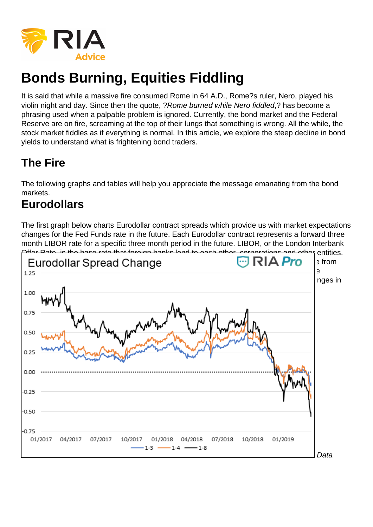

# **Bonds Burning, Equities Fiddling**

It is said that while a massive fire consumed Rome in 64 A.D., Rome?s ruler, Nero, played his violin night and day. Since then the quote, ?Rome burned while Nero fiddled,? has become a phrasing used when a palpable problem is ignored. Currently, the bond market and the Federal Reserve are on fire, screaming at the top of their lungs that something is wrong. All the while, the stock market fiddles as if everything is normal. In this article, we explore the steep decline in bond yields to understand what is frightening bond traders.

# **The Fire**

The following graphs and tables will help you appreciate the message emanating from the bond markets.

# **Eurodollars**

The first graph below charts Eurodollar contract spreads which provide us with market expectations changes for the Fed Funds rate in the future. Each Eurodollar contract represents a forward three month LIBOR rate for a specific three month period in the future. LIBOR, or the London Interbank

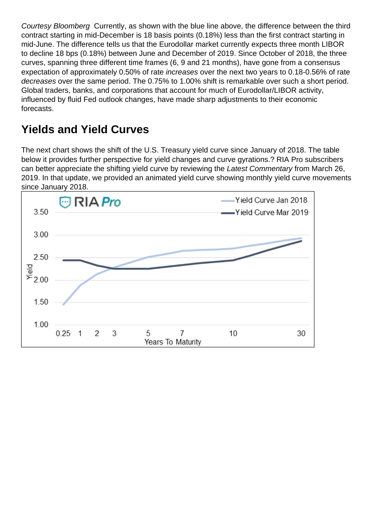Courtesy Bloomberg Currently, as shown with the blue line above, the difference between the third contract starting in mid-December is 18 basis points (0.18%) less than the first contract starting in mid-June. The difference tells us that the Eurodollar market currently expects three month LIBOR to decline 18 bps (0.18%) between June and December of 2019. Since October of 2018, the three curves, spanning three different time frames (6, 9 and 21 months), have gone from a consensus expectation of approximately 0.50% of rate increases over the next two years to 0.18-0.56% of rate decreases over the same period. The 0.75% to 1.00% shift is remarkable over such a short period. Global traders, banks, and corporations that account for much of Eurodollar/LIBOR activity, influenced by fluid Fed outlook changes, have made sharp adjustments to their economic forecasts.

# **Yields and Yield Curves**

The next chart shows the shift of the U.S. Treasury yield curve since January of 2018. The table below it provides further perspective for yield changes and curve gyrations.? RIA Pro subscribers can better appreciate the shifting yield curve by reviewing the Latest Commentary from March 26, 2019. In that update, we provided an animated yield curve showing monthly yield curve movements since January 2018.

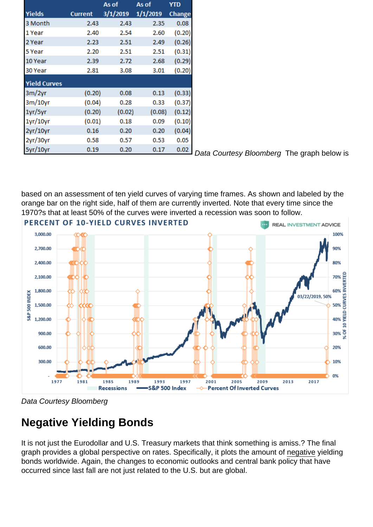|                     |                | As of    | As of    | <b>YTD</b> |
|---------------------|----------------|----------|----------|------------|
| <b>Yields</b>       | <b>Current</b> | 3/1/2019 | 1/1/2019 | Change     |
| 3 Month             | 2.43           | 2.43     | 2.35     | 0.08       |
| 1 Year              | 2.40           | 2.54     | 2.60     | (0.20)     |
| 2 Year              | 2.23           | 2.51     | 2.49     | (0.26)     |
| 5 Year              | 2.20           | 2.51     | 2.51     | (0.31)     |
| 10 Year             | 2.39           | 2.72     | 2.68     | (0.29)     |
| 30 Year             | 2.81           | 3.08     | 3.01     | (0.20)     |
| <b>Yield Curves</b> |                |          |          |            |
| 3m/2yr              | (0.20)         | 0.08     | 0.13     | (0.33)     |
| $3m/10$ yr          | (0.04)         | 0.28     | 0.33     | (0.37)     |
| 1yr/5yr             | (0.20)         | (0.02)   | (0.08)   | (0.12)     |
| 1yr/10yr            | (0.01)         | 0.18     | 0.09     | (0.10)     |
| 2yr/10yr            | 0.16           | 0.20     | 0.20     | (0.04)     |
| 2yr/30yr            | 0.58           | 0.57     | 0.53     | 0.05       |
| 5yr/10yr            | 0.19           | 0.20     | 0.17     | 0.02       |

Data Courtesy Bloomberg The graph below is

based on an assessment of ten yield curves of varying time frames. As shown and labeled by the orange bar on the right side, half of them are currently inverted. Note that every time since the 1970?s that at least 50% of the curves were inverted a recession was soon to follow.



Data Courtesy Bloomberg

# **Negative Yielding Bonds**

It is not just the Eurodollar and U.S. Treasury markets that think something is amiss.? The final graph provides a global perspective on rates. Specifically, it plots the amount of negative yielding bonds worldwide. Again, the changes to economic outlooks and central bank policy that have occurred since last fall are not just related to the U.S. but are global.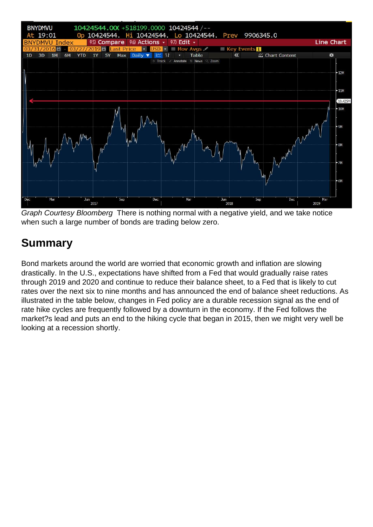

Graph Courtesy Bloomberg There is nothing normal with a negative yield, and we take notice when such a large number of bonds are trading below zero.

# **Summary**

Bond markets around the world are worried that economic growth and inflation are slowing drastically. In the U.S., expectations have shifted from a Fed that would gradually raise rates through 2019 and 2020 and continue to reduce their balance sheet, to a Fed that is likely to cut rates over the next six to nine months and has announced the end of balance sheet reductions. As illustrated in the table below, changes in Fed policy are a durable recession signal as the end of rate hike cycles are frequently followed by a downturn in the economy. If the Fed follows the market?s lead and puts an end to the hiking cycle that began in 2015, then we might very well be looking at a recession shortly.